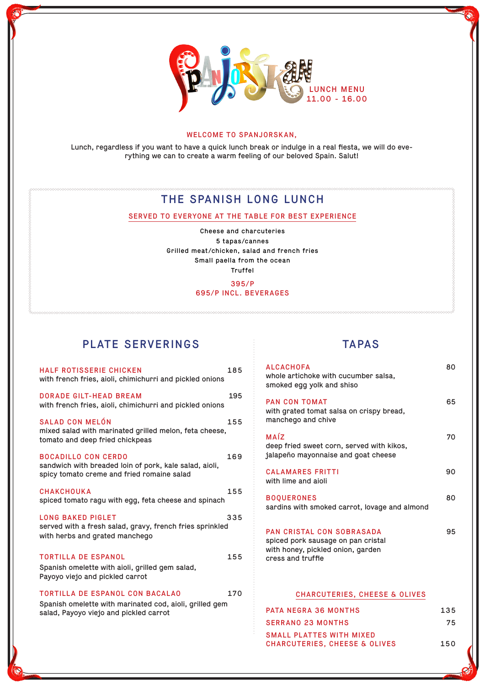

#### WELCOME TO SPANJORSKAN,

Lunch, regardless if you want to have a quick lunch break or indulge in a real fiesta, we will do everything we can to create a warm feeling of our beloved Spain. Salut!

# THE SPANISH LONG LUNCH

### SERVED TO EVERYONE AT THE TABLE FOR BEST EXPERIENCE

Cheese and charcuteries 5 tapas/cannes Grilled meat/chicken, salad and french fries Small paella from the ocean Truffel

395/P

### 695/P INCL. BEVERAGES

# PLATE SERVERINGS

| <b>HALF ROTISSERIE CHICKEN</b><br>with french fries, aioli, chimichurri and pickled onions                                                  | 185 |
|---------------------------------------------------------------------------------------------------------------------------------------------|-----|
| DORADE GILT-HEAD BREAM<br>with french fries, aioli, chimichurri and pickled onions                                                          | 195 |
| <b>SALAD CON MELÓN</b><br>mixed salad with marinated grilled melon, feta cheese,<br>tomato and deep fried chickpeas                         | 155 |
| <b>BOCADILLO CON CERDO</b><br>sandwich with breaded loin of pork, kale salad, aioli,<br>spicy tomato creme and fried romaine salad          | 169 |
| <b>CHAKCHOUKA</b><br>spiced tomato ragu with egg, feta cheese and spinach                                                                   | 155 |
| <b>LONG BAKED PIGLET</b><br>served with a fresh salad, gravy, french fries sprinkled<br>with herbs and grated manchego                      | 335 |
| <b>TORTILLA DE ESPANOL</b><br>Spanish omelette with aioli, grilled gem salad,<br>Payoyo viejo and pickled carrot                            | 155 |
| <b>TORTILLA DE ESPANOL CON BACALAO</b><br>Spanish omelette with marinated cod, aioli, grilled gem<br>salad, Payoyo viejo and pickled carrot | 170 |

## TAPAS

| <b>ALCACHOFA</b><br>whole artichoke with cucumber salsa,<br>smoked egg yolk and shiso                                     | 80  |
|---------------------------------------------------------------------------------------------------------------------------|-----|
| <b>PAN CON TOMAT</b><br>with grated tomat salsa on crispy bread,<br>manchego and chive                                    | 65  |
| MAÍZ<br>deep fried sweet corn, served with kikos,<br>jalapeño mayonnaise and goat cheese                                  | 70  |
| <b>CALAMARES FRITTI</b><br>with lime and aioli                                                                            | 90  |
| <b>BOOUERONES</b><br>sardins with smoked carrot, lovage and almond                                                        | 80  |
| PAN CRISTAL CON SOBRASADA<br>spiced pork sausage on pan cristal<br>with honey, pickled onion, garden<br>cress and truffle | 95  |
| <b>CHARCUTERIES, CHEESE &amp; OLIVES</b>                                                                                  |     |
| PATA NEGRA 36 MONTHS                                                                                                      | 135 |

| PAIA NEGRA 36 MONTHS          | 135 |
|-------------------------------|-----|
| SERRANO 23 MONTHS             | 75  |
| SMALL PLATTES WITH MIXED      |     |
| CHARCUTERIES, CHEESE & OLIVES | 150 |